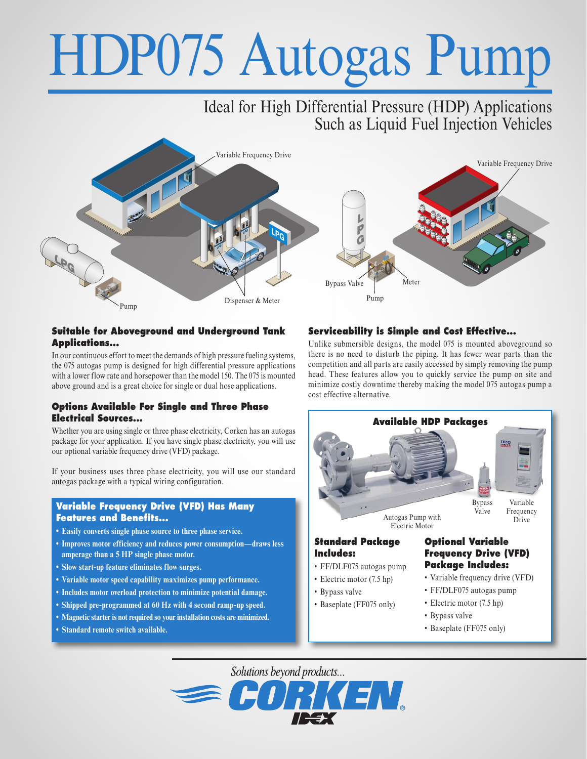# HDP075 Autogas Pump

# Ideal for High Differential Pressure (HDP) Applications Such as Liquid Fuel Injection Vehicles



#### **Suitable for Aboveground and Underground Tank Applications...**

In our continuous effort to meet the demands of high pressure fueling systems, the 075 autogas pump is designed for high differential pressure applications with a lower flow rate and horsepower than the model 150. The 075 is mounted above ground and is a great choice for single or dual hose applications.

#### **Options Available For Single and Three Phase Electrical Sources...**

Whether you are using single or three phase electricity, Corken has an autogas package for your application. If you have single phase electricity, you will use our optional variable frequency drive (VFD) package.

If your business uses three phase electricity, you will use our standard autogas package with a typical wiring configuration.

#### **Variable Frequency Drive (VFD) Has Many Features and Benefits...**

- **• Easily converts single phase source to three phase service.**
- **• Improves motor efficiency and reduces power consumption—draws less amperage than a 5 HP single phase motor.**
- **• Slow start-up feature eliminates flow surges.**
- **• Variable motor speed capability maximizes pump performance.**
- **• Includes motor overload protection to minimize potential damage.**
- **• Shipped pre-programmed at 60 Hz with 4 second ramp-up speed.**
- **• Magnetic starter is not required so your installation costs are minimized.**
- **• Standard remote switch available.**

## **Serviceability is Simple and Cost Effective...**

Unlike submersible designs, the model 075 is mounted aboveground so there is no need to disturb the piping. It has fewer wear parts than the competition and all parts are easily accessed by simply removing the pump head. These features allow you to quickly service the pump on site and minimize costly downtime thereby making the model 075 autogas pump a cost effective alternative.



- Electric motor (7.5 hp) • Baseplate (FF075 only)
	- Bypass valve
	- Baseplate (FF075 only)

Solutions beyond products...